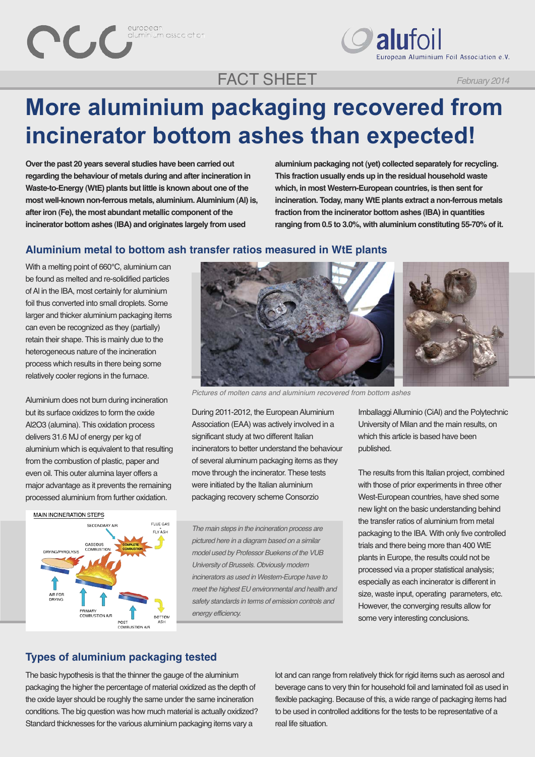duminium association

 $\bigcirc$  alufoil .<br>Iuropean Aluminium Foil Association e.V.

# FACT SHEET

**More aluminium packaging recovered from incinerator bottom ashes than expected!** 

**Over the past 20 years several studies have been carried out regarding the behaviour of metals during and after incineration in Waste-to-Energy (WtE) plants but little is known about one of the most well-known non-ferrous metals, aluminium. Aluminium (Al) is, after iron (Fe), the most abundant metallic component of the incinerator bottom ashes (IBA) and originates largely from used**

**aluminium packaging not (yet) collected separately for recycling. This fraction usually ends up in the residual household waste which, in most Western-European countries, is then sent for incineration. Today, many WtE plants extract a non-ferrous metals fraction from the incinerator bottom ashes (IBA) in quantities ranging from 0.5 to 3.0%, with aluminium constituting 55-70% of it.**

#### **Aluminium metal to bottom ash transfer ratios measured in WtE plants**

With a melting point of 660°C, aluminium can be found as melted and re-solidified particles of Al in the IBA, most certainly for aluminium foil thus converted into small droplets. Some larger and thicker aluminium packaging items can even be recognized as they (partially) retain their shape. This is mainly due to the heterogeneous nature of the incineration process which results in there being some relatively cooler regions in the furnace.

Aluminium does not burn during incineration but its surface oxidizes to form the oxide Al2O3 (alumina). This oxidation process delivers 31.6 MJ of energy per kg of aluminium which is equivalent to that resulting from the combustion of plastic, paper and even oil. This outer alumina layer offers a major advantage as it prevents the remaining processed aluminium from further oxidation.







During 2011-2012, the European Aluminium Association (EAA) was actively involved in a significant study at two different Italian incinerators to better understand the behaviour of several aluminum packaging items as they move through the incinerator. These tests were initiated by the Italian aluminium packaging recovery scheme Consorzio

*The main steps in the incineration process are pictured here in a diagram based on a similar model used by Professor Buekens of the VUB University of Brussels. Obviously modern incinerators as used in Western-Europe have to meet the highest EU environmental and health and safety standards in terms of emission controls and energy efficiency.*

Imballaggi Alluminio (CiAl) and the Polytechnic University of Milan and the main results, on which this article is based have been published.

The results from this Italian project, combined with those of prior experiments in three other West-European countries, have shed some new light on the basic understanding behind the transfer ratios of aluminium from metal packaging to the IBA. With only five controlled trials and there being more than 400 WtE plants in Europe, the results could not be processed via a proper statistical analysis; especially as each incinerator is different in size, waste input, operating parameters, etc. However, the converging results allow for some very interesting conclusions.

## **Types of aluminium packaging tested**

The basic hypothesis is that the thinner the gauge of the aluminium packaging the higher the percentage of material oxidized as the depth of the oxide layer should be roughly the same under the same incineration conditions. The big question was how much material is actually oxidized? Standard thicknesses for the various aluminium packaging items vary a

lot and can range from relatively thick for rigid items such as aerosol and beverage cans to very thin for household foil and laminated foil as used in flexible packaging. Because of this, a wide range of packaging items had to be used in controlled additions for the tests to be representative of a real life situation.

*February 2014*